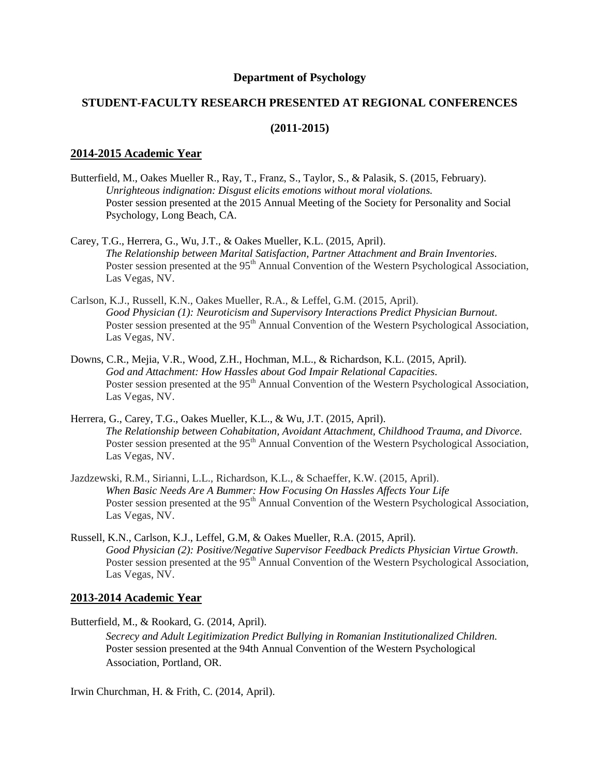## **Department of Psychology**

# **STUDENT-FACULTY RESEARCH PRESENTED AT REGIONAL CONFERENCES**

### **(2011-2015)**

## **2014-2015 Academic Year**

- Butterfield, M., Oakes Mueller R., Ray, T., Franz, S., Taylor, S., & Palasik, S. (2015, February). *Unrighteous indignation: Disgust elicits emotions without moral violations.* Poster session presented at the 2015 Annual Meeting of the Society for Personality and Social Psychology, Long Beach, CA.
- Carey, T.G., Herrera, G., Wu, J.T., & Oakes Mueller, K.L. (2015, April). *The Relationship between Marital Satisfaction, Partner Attachment and Brain Inventories.* Poster session presented at the 95<sup>th</sup> Annual Convention of the Western Psychological Association, Las Vegas, NV.
- Carlson, K.J., Russell, K.N., Oakes Mueller, R.A., & Leffel, G.M. (2015, April). *Good Physician (1): Neuroticism and Supervisory Interactions Predict Physician Burnout.* Poster session presented at the 95<sup>th</sup> Annual Convention of the Western Psychological Association, Las Vegas, NV.
- Downs, C.R., Mejia, V.R., Wood, Z.H., Hochman, M.L., & Richardson, K.L. (2015, April). *God and Attachment: How Hassles about God Impair Relational Capacities.* Poster session presented at the 95<sup>th</sup> Annual Convention of the Western Psychological Association, Las Vegas, NV.
- Herrera, G., Carey, T.G., Oakes Mueller, K.L., & Wu, J.T. (2015, April). *The Relationship between Cohabitation, Avoidant Attachment, Childhood Trauma, and Divorce.* Poster session presented at the 95<sup>th</sup> Annual Convention of the Western Psychological Association, Las Vegas, NV.
- Jazdzewski, R.M., Sirianni, L.L., Richardson, K.L., & Schaeffer, K.W. (2015, April). *When Basic Needs Are A Bummer: How Focusing On Hassles Affects Your Life* Poster session presented at the 95<sup>th</sup> Annual Convention of the Western Psychological Association, Las Vegas, NV.
- Russell, K.N., Carlson, K.J., Leffel, G.M, & Oakes Mueller, R.A. (2015, April). *Good Physician (2): Positive/Negative Supervisor Feedback Predicts Physician Virtue Growth.* Poster session presented at the 95<sup>th</sup> Annual Convention of the Western Psychological Association, Las Vegas, NV.

### **2013-2014 Academic Year**

Butterfield, M., & Rookard, G. (2014, April).

*Secrecy and Adult Legitimization Predict Bullying in Romanian Institutionalized Children.* Poster session presented at the 94th Annual Convention of the Western Psychological Association, Portland, OR.

Irwin Churchman, H. & Frith, C. (2014, April).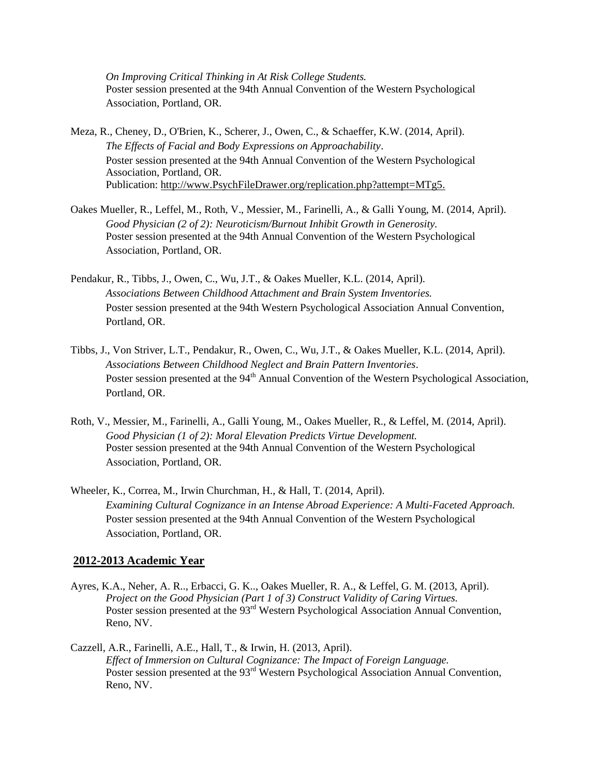*On Improving Critical Thinking in At Risk College Students.* Poster session presented at the 94th Annual Convention of the Western Psychological Association, Portland, OR.

- Meza, R., Cheney, D., O'Brien, K., Scherer, J., Owen, C., & Schaeffer, K.W. (2014, April). *The Effects of Facial and Body Expressions on Approachability*. Poster session presented at the 94th Annual Convention of the Western Psychological Association, Portland, OR. Publication: [http://www.PsychFileDrawer.org/replication.php?attempt=MTg5.](http://www.psychfiledrawer.org/replication.php?attempt=MTg5)
- Oakes Mueller, R., Leffel, M., Roth, V., Messier, M., Farinelli, A., & Galli Young, M. (2014, April). *Good Physician (2 of 2): Neuroticism/Burnout Inhibit Growth in Generosity.* Poster session presented at the 94th Annual Convention of the Western Psychological Association, Portland, OR.
- Pendakur, R., Tibbs, J., Owen, C., Wu, J.T., & Oakes Mueller, K.L. (2014, April). *Associations Between Childhood Attachment and Brain System Inventories.* Poster session presented at the 94th Western Psychological Association Annual Convention, Portland, OR.
- Tibbs, J., Von Striver, L.T., Pendakur, R., Owen, C., Wu, J.T., & Oakes Mueller, K.L. (2014, April). *Associations Between Childhood Neglect and Brain Pattern Inventories*. Poster session presented at the 94<sup>th</sup> Annual Convention of the Western Psychological Association, Portland, OR.
- Roth, V., Messier, M., Farinelli, A., Galli Young, M., Oakes Mueller, R., & Leffel, M. (2014, April). *Good Physician (1 of 2): Moral Elevation Predicts Virtue Development.* Poster session presented at the 94th Annual Convention of the Western Psychological Association, Portland, OR.
- Wheeler, K., Correa, M., Irwin Churchman, H., & Hall, T. (2014, April). *Examining Cultural Cognizance in an Intense Abroad Experience: A Multi-Faceted Approach.* Poster session presented at the 94th Annual Convention of the Western Psychological Association, Portland, OR.

### **2012-2013 Academic Year**

- Ayres, K.A., Neher, A. R.., Erbacci, G. K.., Oakes Mueller, R. A., & Leffel, G. M. (2013, April). *Project on the Good Physician (Part 1 of 3) Construct Validity of Caring Virtues.* Poster session presented at the 93<sup>rd</sup> Western Psychological Association Annual Convention, Reno, NV.
- Cazzell, A.R., Farinelli, A.E., Hall, T., & Irwin, H. (2013, April). *Effect of Immersion on Cultural Cognizance: The Impact of Foreign Language.* Poster session presented at the 93<sup>rd</sup> Western Psychological Association Annual Convention, Reno, NV.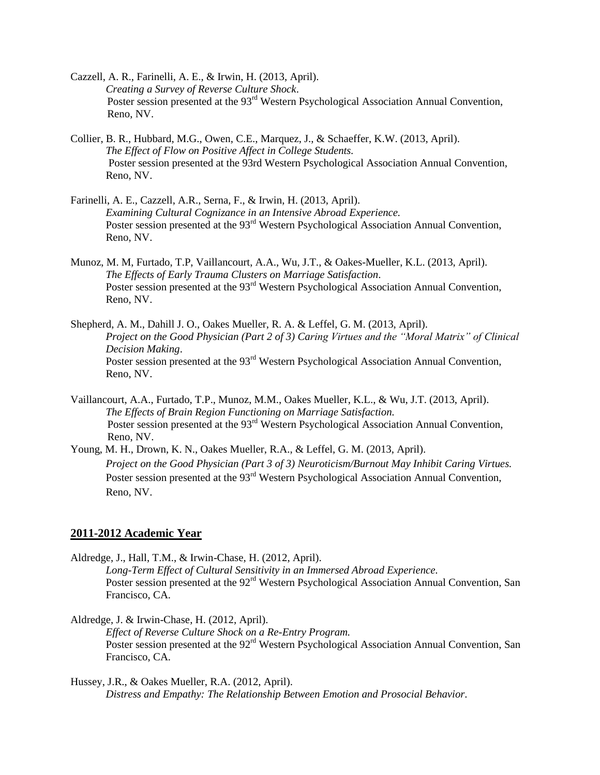- Cazzell, A. R., Farinelli, A. E., & Irwin, H. (2013, April). *Creating a Survey of Reverse Culture Shock*. Poster session presented at the 93<sup>rd</sup> Western Psychological Association Annual Convention, Reno, NV.
- Collier, B. R., Hubbard, M.G., Owen, C.E., Marquez, J., & Schaeffer, K.W. (2013, April). *The Effect of Flow on Positive Affect in College Students.* Poster session presented at the 93rd Western Psychological Association Annual Convention, Reno, NV.
- Farinelli, A. E., Cazzell, A.R., Serna, F., & Irwin, H. (2013, April). *Examining Cultural Cognizance in an Intensive Abroad Experience.* Poster session presented at the 93<sup>rd</sup> Western Psychological Association Annual Convention, Reno, NV.
- Munoz, M. M, Furtado, T.P, Vaillancourt, A.A., Wu, J.T., & Oakes-Mueller, K.L. (2013, April). *The Effects of Early Trauma Clusters on Marriage Satisfaction*. Poster session presented at the 93<sup>rd</sup> Western Psychological Association Annual Convention, Reno, NV.
- Shepherd, A. M., Dahill J. O., Oakes Mueller, R. A. & Leffel, G. M. (2013, April). *Project on the Good Physician (Part 2 of 3) Caring Virtues and the "Moral Matrix" of Clinical Decision Making*. Poster session presented at the 93<sup>rd</sup> Western Psychological Association Annual Convention, Reno, NV.
- Vaillancourt, A.A., Furtado, T.P., Munoz, M.M., Oakes Mueller, K.L., & Wu, J.T. (2013, April). *The Effects of Brain Region Functioning on Marriage Satisfaction.* Poster session presented at the 93<sup>rd</sup> Western Psychological Association Annual Convention, Reno, NV.
- Young, M. H., Drown, K. N., Oakes Mueller, R.A., & Leffel, G. M. (2013, April). *Project on the Good Physician (Part 3 of 3) Neuroticism/Burnout May Inhibit Caring Virtues.*  Poster session presented at the 93<sup>rd</sup> Western Psychological Association Annual Convention, Reno, NV.

### **2011-2012 Academic Year**

Aldredge, J., Hall, T.M., & Irwin-Chase, H. (2012, April). *Long-Term Effect of Cultural Sensitivity in an Immersed Abroad Experience.*

Poster session presented at the 92<sup>rd</sup> Western Psychological Association Annual Convention, San Francisco, CA.

Aldredge, J. & Irwin-Chase, H. (2012, April).

*Effect of Reverse Culture Shock on a Re-Entry Program.* Poster session presented at the 92<sup>rd</sup> Western Psychological Association Annual Convention, San Francisco, CA.

Hussey, J.R., & Oakes Mueller, R.A. (2012, April). *Distress and Empathy: The Relationship Between Emotion and Prosocial Behavior.*